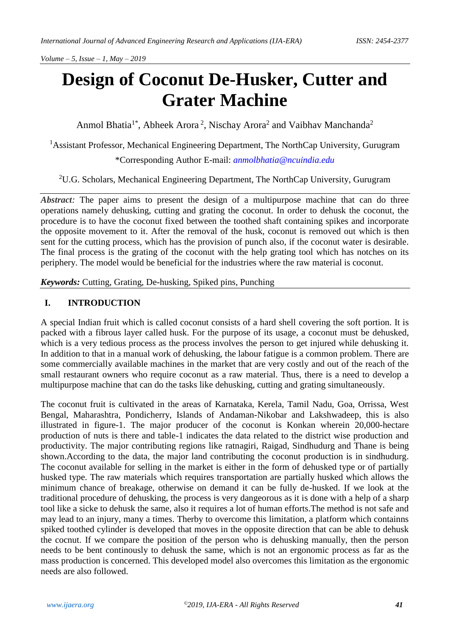# **Design of Coconut De-Husker, Cutter and Grater Machine**

Anmol Bhatia<sup>1\*</sup>, Abheek Arora<sup>2</sup>, Nischay Arora<sup>2</sup> and Vaibhav Manchanda<sup>2</sup>

<sup>1</sup>Assistant Professor, Mechanical Engineering Department, The NorthCap University, Gurugram

\*Corresponding Author E-mail: *[anmolbhatia@ncuindia.edu](mailto:anmolbhatia@ncuindia.edu)*

<sup>2</sup>U.G. Scholars, Mechanical Engineering Department, The NorthCap University, Gurugram

*Abstract:* The paper aims to present the design of a multipurpose machine that can do three operations namely dehusking, cutting and grating the coconut. In order to dehusk the coconut, the procedure is to have the coconut fixed between the toothed shaft containing spikes and incorporate the opposite movement to it. After the removal of the husk, coconut is removed out which is then sent for the cutting process, which has the provision of punch also, if the coconut water is desirable. The final process is the grating of the coconut with the help grating tool which has notches on its periphery. The model would be beneficial for the industries where the raw material is coconut.

*Keywords:* Cutting, Grating, De-husking, Spiked pins, Punching

#### **I. INTRODUCTION**

A special Indian fruit which is called coconut consists of a hard shell covering the soft portion. It is packed with a fibrous layer called husk. For the purpose of its usage, a coconut must be dehusked, which is a very tedious process as the process involves the person to get injured while dehusking it. In addition to that in a manual work of dehusking, the labour fatigue is a common problem. There are some commercially available machines in the market that are very costly and out of the reach of the small restaurant owners who require coconut as a raw material. Thus, there is a need to develop a multipurpose machine that can do the tasks like dehusking, cutting and grating simultaneously.

The coconut fruit is cultivated in the areas of Karnataka, Kerela, Tamil Nadu, Goa, Orrissa, West Bengal, Maharashtra, Pondicherry, Islands of Andaman-Nikobar and Lakshwadeep, this is also illustrated in figure-1. The major producer of the coconut is Konkan wherein 20,000-hectare production of nuts is there and table-1 indicates the data related to the district wise production and productivity. The major contributing regions like ratnagiri, Raigad, Sindhudurg and Thane is being shown.According to the data, the major land contributing the coconut production is in sindhudurg. The coconut available for selling in the market is either in the form of dehusked type or of partially husked type. The raw materials which requires transportation are partially husked which allows the minimum chance of breakage, otherwise on demand it can be fully de-husked. If we look at the traditional procedure of dehusking, the process is very dangeorous as it is done with a help of a sharp tool like a sicke to dehusk the same, also it requires a lot of human efforts.The method is not safe and may lead to an injury, many a times. Therby to overcome this limitation, a platform which containns spiked toothed cylinder is developed that moves in the opposite direction that can be able to dehusk the cocnut. If we compare the position of the person who is dehusking manually, then the person needs to be bent continously to dehusk the same, which is not an ergonomic process as far as the mass production is concerned. This developed model also overcomes this limitation as the ergonomic needs are also followed.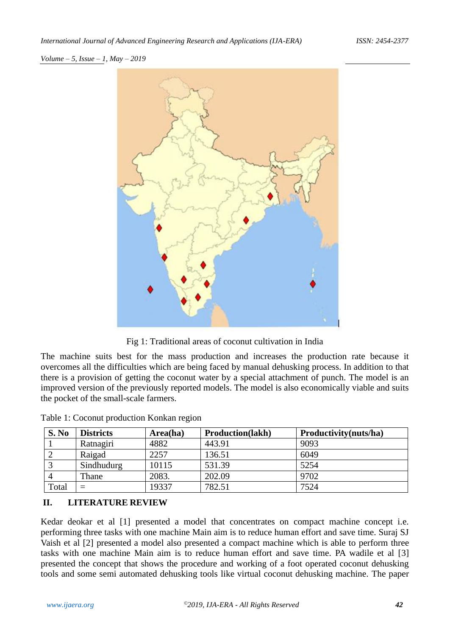

Fig 1: Traditional areas of coconut cultivation in India

The machine suits best for the mass production and increases the production rate because it overcomes all the difficulties which are being faced by manual dehusking process. In addition to that there is a provision of getting the coconut water by a special attachment of punch. The model is an improved version of the previously reported models. The model is also economically viable and suits the pocket of the small-scale farmers.

| S. No | <b>Districts</b> | Area(ha) | <b>Production</b> (lakh) | Productivity(nuts/ha) |
|-------|------------------|----------|--------------------------|-----------------------|
|       | Ratnagiri        | 4882     | 443.91                   | 9093                  |
|       | Raigad           | 2257     | 136.51                   | 6049                  |
|       | Sindhudurg       | 10115    | 531.39                   | 5254                  |
|       | Thane            | 2083.    | 202.09                   | 9702                  |
| Total | $=$              | 19337    | 782.51                   | 7524                  |

Table 1: Coconut production Konkan region

# **II. LITERATURE REVIEW**

Kedar deokar et al [1] presented a model that concentrates on compact machine concept i.e. performing three tasks with one machine Main aim is to reduce human effort and save time. Suraj SJ Vaish et al [2] presented a model also presented a compact machine which is able to perform three tasks with one machine Main aim is to reduce human effort and save time. PA wadile et al [3] presented the concept that shows the procedure and working of a foot operated coconut dehusking tools and some semi automated dehusking tools like virtual coconut dehusking machine. The paper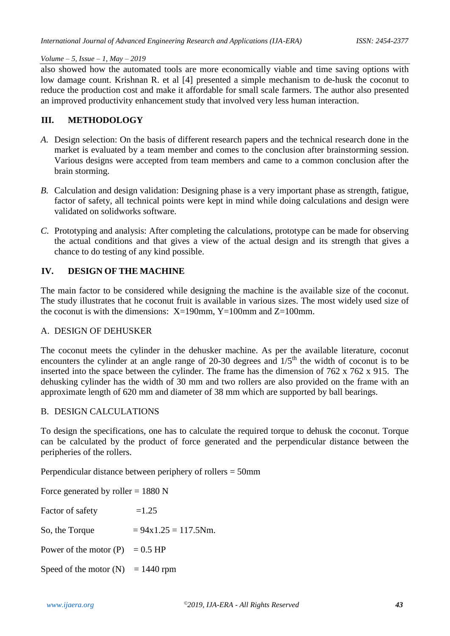also showed how the automated tools are more economically viable and time saving options with low damage count. Krishnan R. et al [4] presented a simple mechanism to de-husk the coconut to reduce the production cost and make it affordable for small scale farmers. The author also presented an improved productivity enhancement study that involved very less human interaction.

### **III. METHODOLOGY**

- *A.* Design selection: On the basis of different research papers and the technical research done in the market is evaluated by a team member and comes to the conclusion after brainstorming session. Various designs were accepted from team members and came to a common conclusion after the brain storming.
- *B.* Calculation and design validation: Designing phase is a very important phase as strength, fatigue, factor of safety, all technical points were kept in mind while doing calculations and design were validated on solidworks software.
- *C.* Prototyping and analysis: After completing the calculations, prototype can be made for observing the actual conditions and that gives a view of the actual design and its strength that gives a chance to do testing of any kind possible.

# **IV. DESIGN OF THE MACHINE**

The main factor to be considered while designing the machine is the available size of the coconut. The study illustrates that he coconut fruit is available in various sizes. The most widely used size of the coconut is with the dimensions:  $X=190$ mm,  $Y=100$ mm and  $Z=100$ mm.

#### A. DESIGN OF DEHUSKER

The coconut meets the cylinder in the dehusker machine. As per the available literature, coconut encounters the cylinder at an angle range of 20-30 degrees and  $1/5<sup>th</sup>$  the width of coconut is to be inserted into the space between the cylinder. The frame has the dimension of 762 x 762 x 915. The dehusking cylinder has the width of 30 mm and two rollers are also provided on the frame with an approximate length of 620 mm and diameter of 38 mm which are supported by ball bearings.

### B. DESIGN CALCULATIONS

To design the specifications, one has to calculate the required torque to dehusk the coconut. Torque can be calculated by the product of force generated and the perpendicular distance between the peripheries of the rollers.

Perpendicular distance between periphery of rollers = 50mm

| Force generated by roller = $1880$ N |                        |  |  |  |  |
|--------------------------------------|------------------------|--|--|--|--|
| Factor of safety                     | $=1.25$                |  |  |  |  |
| So, the Torque                       | $= 94x1.25 = 117.5Nm.$ |  |  |  |  |
| Power of the motor $(P) = 0.5$ HP    |                        |  |  |  |  |
| Speed of the motor $(N) = 1440$ rpm  |                        |  |  |  |  |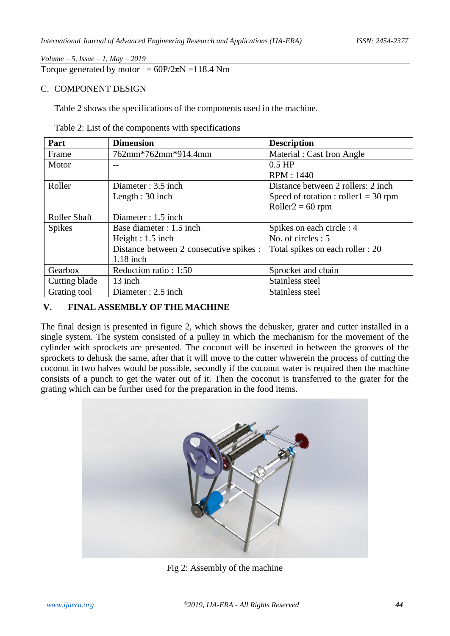Torque generated by motor =  $60P/2\pi N = 118.4$  Nm

#### C. COMPONENT DESIGN

Table 2 shows the specifications of the components used in the machine.

| Table 2: List of the components with specifications |  |  |
|-----------------------------------------------------|--|--|
|-----------------------------------------------------|--|--|

| Part                | <b>Dimension</b>                        | <b>Description</b>                      |
|---------------------|-----------------------------------------|-----------------------------------------|
| Frame               | 762mm*762mm*914.4mm                     | Material : Cast Iron Angle              |
| Motor               | --                                      | $0.5$ HP                                |
|                     |                                         | RPM: 1440                               |
| Roller              | Diameter: 3.5 inch                      | Distance between 2 rollers: 2 inch      |
|                     | Length $: 30$ inch                      | Speed of rotation : roller $1 = 30$ rpm |
|                     |                                         | $Roller2 = 60$ rpm                      |
| <b>Roller Shaft</b> | Diameter : 1.5 inch                     |                                         |
| <b>Spikes</b>       | Base diameter : 1.5 inch                | Spikes on each circle : 4               |
|                     | Height : $1.5$ inch                     | No. of circles $: 5$                    |
|                     | Distance between 2 consecutive spikes : | Total spikes on each roller : 20        |
|                     | $1.18$ inch                             |                                         |
| Gearbox             | Reduction ratio : 1:50                  | Sprocket and chain                      |
| Cutting blade       | 13 inch                                 | Stainless steel                         |
| Grating tool        | Diameter: 2.5 inch                      | Stainless steel                         |

# **V. FINAL ASSEMBLY OF THE MACHINE**

The final design is presented in figure 2, which shows the dehusker, grater and cutter installed in a single system. The system consisted of a pulley in which the mechanism for the movement of the cylinder with sprockets are presented. The coconut will be inserted in between the grooves of the sprockets to dehusk the same, after that it will move to the cutter whwerein the process of cutting the coconut in two halves would be possible, secondly if the coconut water is required then the machine consists of a punch to get the water out of it. Then the coconut is transferred to the grater for the grating which can be further used for the preparation in the food items.



Fig 2: Assembly of the machine